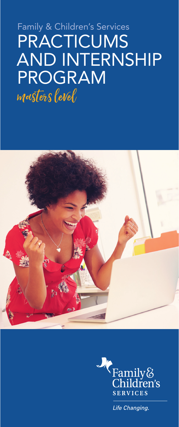# Family & Children's Services PRACTICUMS AND INTERNSHIP PROGRAM masters level





Life Changing.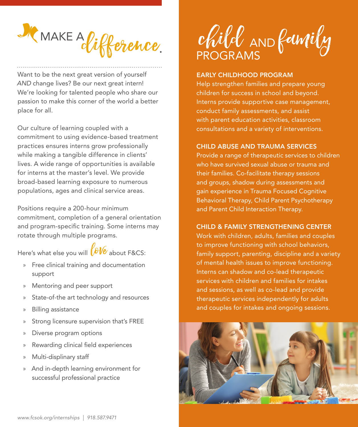

Want to be the next great version of yourself *AND* change lives? Be our next great intern! We're looking for talented people who share our passion to make this corner of the world a better place for all.

Our culture of learning coupled with a commitment to using evidence-based treatment practices ensures interns grow professionally while making a tangible difference in clients' lives. A wide range of opportunities is available for interns at the master's level. We provide broad-based learning exposure to numerous populations, ages and clinical service areas.

Positions require a 200-hour minimum commitment, completion of a general orientation and program-specific training. Some interns may rotate through multiple programs.

Here's what else you will  $\bigotimes \mathcal{V}e$  about F&CS:

- » Free clinical training and documentation support
- » Mentoring and peer support
- State-of-the art technology and resources
- » Billing assistance
- Strong licensure supervision that's FREE
- » Diverse program options
- » Rewarding clinical field experiences
- » Multi-displinary staff
- » And in-depth learning environment for successful professional practice

child AND family

#### EARLY CHILDHOOD PROGRAM

Help strengthen families and prepare young children for success in school and beyond. Interns provide supportive case management, conduct family assessments, and assist with parent education activities, classroom consultations and a variety of interventions.

#### CHILD ABUSE AND TRAUMA SERVICES

Provide a range of therapeutic services to children who have survived sexual abuse or trauma and their families. Co-facilitate therapy sessions and groups, shadow during assessments and gain experience in Trauma Focused Cognitive Behavioral Therapy, Child Parent Psychotherapy and Parent Child Interaction Therapy.

# CHILD & FAMILY STRENGTHENING CENTER

Work with children, adults, families and couples to improve functioning with school behaviors, family support, parenting, discipline and a variety of mental health issues to improve functioning. Interns can shadow and co-lead therapeutic services with children and families for intakes and sessions, as well as co-lead and provide therapeutic services independently for adults and couples for intakes and ongoing sessions.

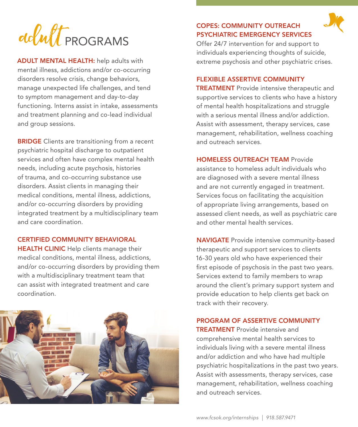

ADULT MENTAL HEALTH: help adults with mental illness, addictions and/or co-occurring disorders resolve crisis, change behaviors, manage unexpected life challenges, and tend to symptom management and day-to-day functioning. Interns assist in intake, assessments and treatment planning and co-lead individual and group sessions.

**BRIDGE** Clients are transitioning from a recent psychiatric hospital discharge to outpatient services and often have complex mental health needs, including acute psychosis, histories of trauma, and co-occurring substance use disorders. Assist clients in managing their medical conditions, mental illness, addictions, and/or co-occurring disorders by providing integrated treatment by a multidisciplinary team and care coordination.

CERTIFIED COMMUNITY BEHAVIORAL

**HEALTH CLINIC** Help clients manage their medical conditions, mental illness, addictions, and/or co-occurring disorders by providing them with a multidisciplinary treatment team that can assist with integrated treatment and care coordination.



# COPES: COMMUNITY OUTREACH PSYCHIATRIC EMERGENCY SERVICES



Offer 24/7 intervention for and support to individuals experiencing thoughts of suicide, extreme psychosis and other psychiatric crises.

#### FLEXIBLE ASSERTIVE COMMUNITY

**TREATMENT** Provide intensive therapeutic and supportive services to clients who have a history of mental health hospitalizations and struggle with a serious mental illness and/or addiction. Assist with assessment, therapy services, case management, rehabilitation, wellness coaching and outreach services.

#### HOMELESS OUTREACH TEAM Provide

assistance to homeless adult individuals who are diagnosed with a severe mental illness and are not currently engaged in treatment. Services focus on facilitating the acquisition of appropriate living arrangements, based on assessed client needs, as well as psychiatric care and other mental health services.

NAVIGATE Provide intensive community-based therapeutic and support services to clients 16-30 years old who have experienced their first episode of psychosis in the past two years. Services extend to family members to wrap around the client's primary support system and provide education to help clients get back on track with their recovery.

## PROGRAM OF ASSERTIVE COMMUNITY

TREATMENT Provide intensive and comprehensive mental health services to individuals living with a severe mental illness and/or addiction and who have had multiple psychiatric hospitalizations in the past two years. Assist with assessments, therapy services, case management, rehabilitation, wellness coaching and outreach services.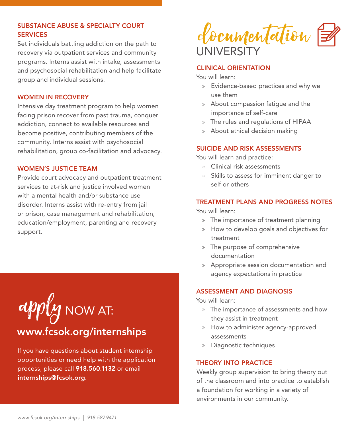# SUBSTANCE ABUSE & SPECIALTY COURT **SERVICES**

Set individuals battling addiction on the path to recovery via outpatient services and community programs. Interns assist with intake, assessments and psychosocial rehabilitation and help facilitate group and individual sessions.

#### WOMEN IN RECOVERY

Intensive day treatment program to help women facing prison recover from past trauma, conquer addiction, connect to available resources and become positive, contributing members of the community. Interns assist with psychosocial rehabilitation, group co-facilitation and advocacy.

#### WOMEN'S JUSTICE TEAM

Provide court advocacy and outpatient treatment services to at-risk and justice involved women with a mental health and/or substance use disorder. Interns assist with re-entry from jail or prison, case management and rehabilitation, education/employment, parenting and recovery support.

apply NOW AT: www.fcsok.org/internships

If you have questions about student internship opportunities or need help with the application process, please call 918.560.1132 or email internships@fcsok.org.

documentation **UNIVERSITY** 

#### CLINICAL ORIENTATION

You will learn:

- » Evidence-based practices and why we use them
- » About compassion fatigue and the importance of self-care
- » The rules and regulations of HIPAA
- » About ethical decision making

# SUICIDE AND RISK ASSESSMENTS

You will learn and practice:

- » Clinical risk assessments
- » Skills to assess for imminent danger to self or others

# TREATMENT PLANS AND PROGRESS NOTES

You will learn:

- » The importance of treatment planning
- » How to develop goals and objectives for treatment
- » The purpose of comprehensive documentation
- » Appropriate session documentation and agency expectations in practice

#### ASSESSMENT AND DIAGNOSIS

You will learn:

- » The importance of assessments and how they assist in treatment
- » How to administer agency-approved assessments
- » Diagnostic techniques

#### THEORY INTO PRACTICE

Weekly group supervision to bring theory out of the classroom and into practice to establish a foundation for working in a variety of environments in our community.